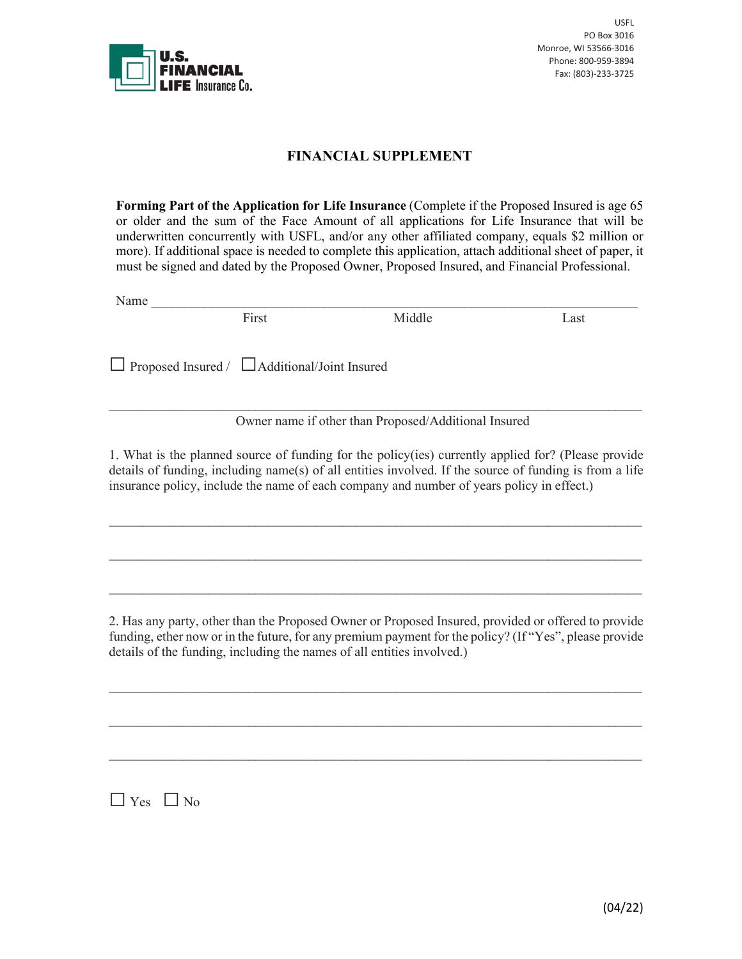

## **FINANCIAL SUPPLEMENT**

**Forming Part of the Application for Life Insurance** (Complete if the Proposed Insured is age 65 or older and the sum of the Face Amount of all applications for Life Insurance that will be underwritten concurrently with USFL, and/or any other affiliated company, equals \$2 million or more). If additional space is needed to complete this application, attach additional sheet of paper, it must be signed and dated by the Proposed Owner, Proposed Insured, and Financial Professional.

Name \_\_\_\_\_\_\_\_\_\_\_\_\_\_\_\_\_\_\_\_\_\_\_\_\_\_\_\_\_\_\_\_\_\_\_\_\_\_\_\_\_\_\_\_\_\_\_\_\_\_\_\_\_\_\_\_\_\_\_\_\_\_\_\_\_\_\_\_\_\_\_\_\_

First Middle Last

□Proposed Insured / □Additional/Joint Insured

Owner name if other than Proposed/Additional Insured

 $\mathcal{L}_\text{max}$  and  $\mathcal{L}_\text{max}$  and  $\mathcal{L}_\text{max}$  and  $\mathcal{L}_\text{max}$  and  $\mathcal{L}_\text{max}$  and  $\mathcal{L}_\text{max}$ 

1. What is the planned source of funding for the policy(ies) currently applied for? (Please provide details of funding, including name(s) of all entities involved. If the source of funding is from a life insurance policy, include the name of each company and number of years policy in effect.)

 $\mathcal{L}_\text{max}$  and  $\mathcal{L}_\text{max}$  and  $\mathcal{L}_\text{max}$  and  $\mathcal{L}_\text{max}$  and  $\mathcal{L}_\text{max}$  and  $\mathcal{L}_\text{max}$ 

 $\mathcal{L}_\text{max}$  and  $\mathcal{L}_\text{max}$  and  $\mathcal{L}_\text{max}$  and  $\mathcal{L}_\text{max}$  and  $\mathcal{L}_\text{max}$  and  $\mathcal{L}_\text{max}$ 

 $\mathcal{L}_\text{max}$  and  $\mathcal{L}_\text{max}$  and  $\mathcal{L}_\text{max}$  and  $\mathcal{L}_\text{max}$  and  $\mathcal{L}_\text{max}$  and  $\mathcal{L}_\text{max}$ 

2. Has any party, other than the Proposed Owner or Proposed Insured, provided or offered to provide funding, ether now or in the future, for any premium payment for the policy? (If "Yes", please provide details of the funding, including the names of all entities involved.)

 $\mathcal{L}_\text{max}$  and  $\mathcal{L}_\text{max}$  and  $\mathcal{L}_\text{max}$  and  $\mathcal{L}_\text{max}$  and  $\mathcal{L}_\text{max}$  and  $\mathcal{L}_\text{max}$ 

\_\_\_\_\_\_\_\_\_\_\_\_\_\_\_\_\_\_\_\_\_\_\_\_\_\_\_\_\_\_\_\_\_\_\_\_\_\_\_\_\_\_\_\_\_\_\_\_\_\_\_\_\_\_\_\_\_\_\_\_\_\_\_\_\_\_\_\_\_\_\_\_\_\_\_\_\_\_\_\_

 $\mathcal{L}_\text{max}$  and  $\mathcal{L}_\text{max}$  and  $\mathcal{L}_\text{max}$  and  $\mathcal{L}_\text{max}$  and  $\mathcal{L}_\text{max}$  and  $\mathcal{L}_\text{max}$ 

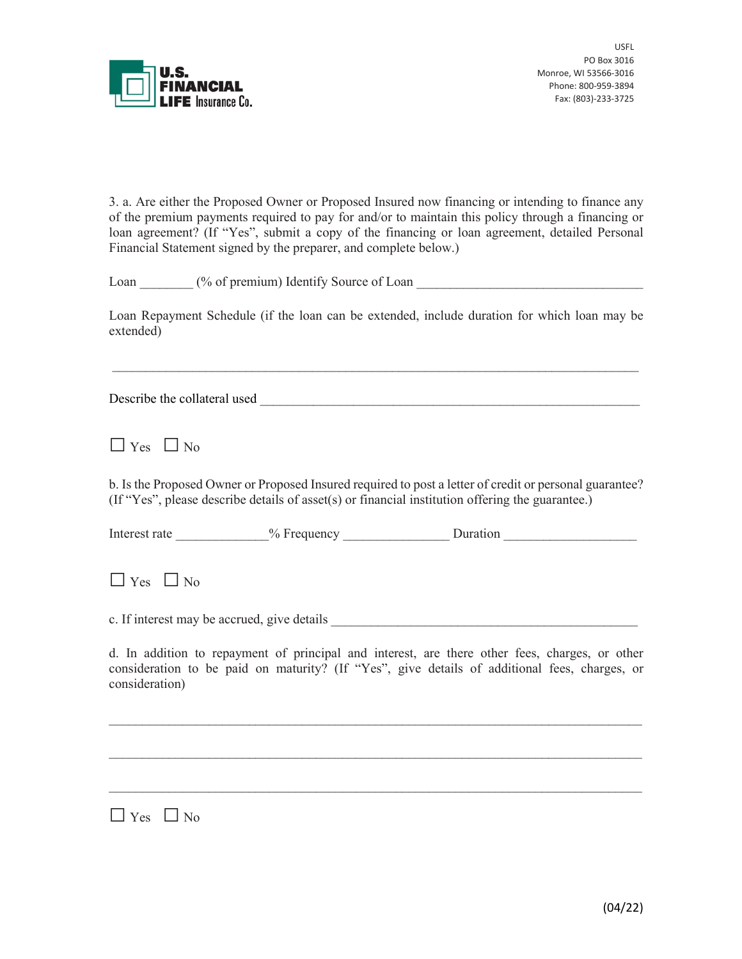

3. a. Are either the Proposed Owner or Proposed Insured now financing or intending to finance any of the premium payments required to pay for and/or to maintain this policy through a financing or loan agreement? (If "Yes", submit a copy of the financing or loan agreement, detailed Personal Financial Statement signed by the preparer, and complete below.)

Loan \_\_\_\_\_\_\_\_ (% of premium) Identify Source of Loan \_\_\_\_\_\_\_\_\_\_\_\_\_\_\_\_\_\_\_\_\_\_\_\_\_\_\_\_\_\_\_\_\_\_

Loan Repayment Schedule (if the loan can be extended, include duration for which loan may be extended)

 $\_$  , and the set of the set of the set of the set of the set of the set of the set of the set of the set of the set of the set of the set of the set of the set of the set of the set of the set of the set of the set of th

Describe the collateral used \_\_\_\_\_\_\_\_\_\_\_\_\_\_\_\_\_\_\_\_\_\_\_\_\_\_\_\_\_\_\_\_\_\_\_\_\_\_\_\_\_\_\_\_\_\_\_\_\_\_\_\_\_\_\_\_\_

 $\Box$  Yes  $\Box$  No

b. Is the Proposed Owner or Proposed Insured required to post a letter of credit or personal guarantee? (If "Yes", please describe details of asset(s) or financial institution offering the guarantee.)

| Interest rate | 0.<br>cquency<br>. ∙re g<br>$\alpha$ | Juranoi. |  |
|---------------|--------------------------------------|----------|--|
|               |                                      |          |  |

 $\Box$  Yes  $\Box$  No

c. If interest may be accrued, give details

d. In addition to repayment of principal and interest, are there other fees, charges, or other consideration to be paid on maturity? (If "Yes", give details of additional fees, charges, or consideration)

 $\mathcal{L}_\text{max}$  and  $\mathcal{L}_\text{max}$  and  $\mathcal{L}_\text{max}$  and  $\mathcal{L}_\text{max}$  and  $\mathcal{L}_\text{max}$  and  $\mathcal{L}_\text{max}$ 

 $\mathcal{L}_\text{max}$  and  $\mathcal{L}_\text{max}$  and  $\mathcal{L}_\text{max}$  and  $\mathcal{L}_\text{max}$  and  $\mathcal{L}_\text{max}$  and  $\mathcal{L}_\text{max}$ 

 $\mathcal{L}_\text{max}$  and  $\mathcal{L}_\text{max}$  and  $\mathcal{L}_\text{max}$  and  $\mathcal{L}_\text{max}$  and  $\mathcal{L}_\text{max}$  and  $\mathcal{L}_\text{max}$ 

 $\Box$  Yes  $\Box$  No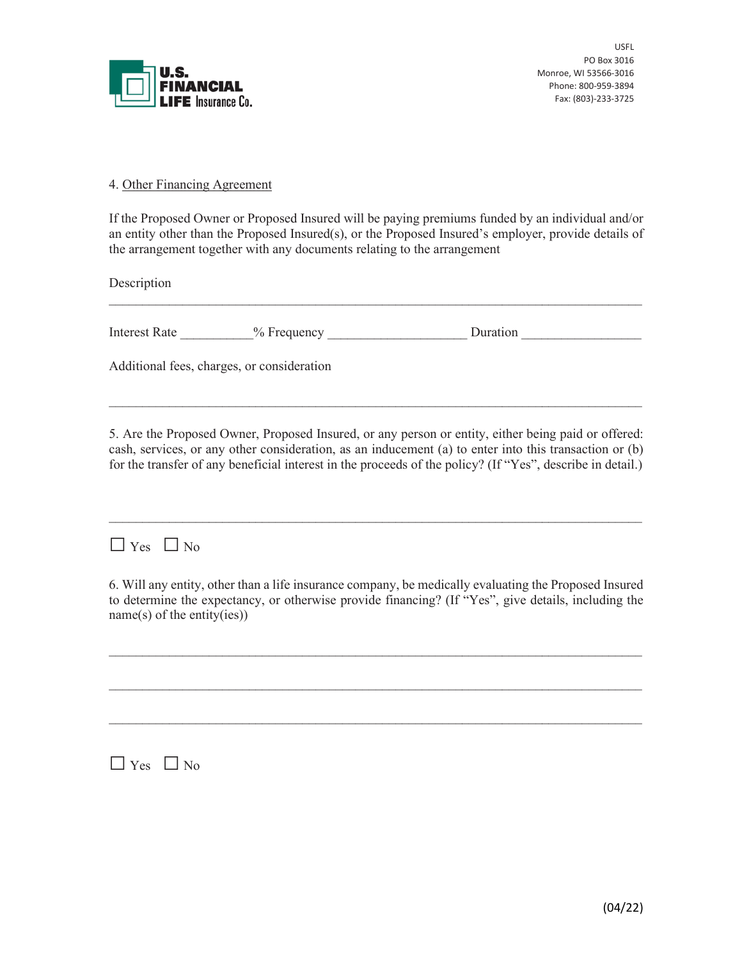

## 4. Other Financing Agreement

If the Proposed Owner or Proposed Insured will be paying premiums funded by an individual and/or an entity other than the Proposed Insured(s), or the Proposed Insured's employer, provide details of the arrangement together with any documents relating to the arrangement

Description

| Interest<br>Rate | equency<br>Ω | Juration |
|------------------|--------------|----------|
|------------------|--------------|----------|

 $\mathcal{L}_\text{max}$  and  $\mathcal{L}_\text{max}$  and  $\mathcal{L}_\text{max}$  and  $\mathcal{L}_\text{max}$  and  $\mathcal{L}_\text{max}$  and  $\mathcal{L}_\text{max}$ 

Additional fees, charges, or consideration

5. Are the Proposed Owner, Proposed Insured, or any person or entity, either being paid or offered: cash, services, or any other consideration, as an inducement (a) to enter into this transaction or (b) for the transfer of any beneficial interest in the proceeds of the policy? (If "Yes", describe in detail.)

 $\mathcal{L}_\text{max}$  and  $\mathcal{L}_\text{max}$  and  $\mathcal{L}_\text{max}$  and  $\mathcal{L}_\text{max}$  and  $\mathcal{L}_\text{max}$  and  $\mathcal{L}_\text{max}$ 

 $\mathcal{L}_\text{max}$  and  $\mathcal{L}_\text{max}$  and  $\mathcal{L}_\text{max}$  and  $\mathcal{L}_\text{max}$  and  $\mathcal{L}_\text{max}$  and  $\mathcal{L}_\text{max}$ 

 $\Box$  Yes  $\Box$  No

6. Will any entity, other than a life insurance company, be medically evaluating the Proposed Insured to determine the expectancy, or otherwise provide financing? (If "Yes", give details, including the name(s) of the entity(ies))

 $\_$  , and the set of the set of the set of the set of the set of the set of the set of the set of the set of the set of the set of the set of the set of the set of the set of the set of the set of the set of the set of th

 $\_$  , and the set of the set of the set of the set of the set of the set of the set of the set of the set of the set of the set of the set of the set of the set of the set of the set of the set of the set of the set of th

 $\_$  , and the set of the set of the set of the set of the set of the set of the set of the set of the set of the set of the set of the set of the set of the set of the set of the set of the set of the set of the set of th

 $\Box$  Yes  $\Box$  No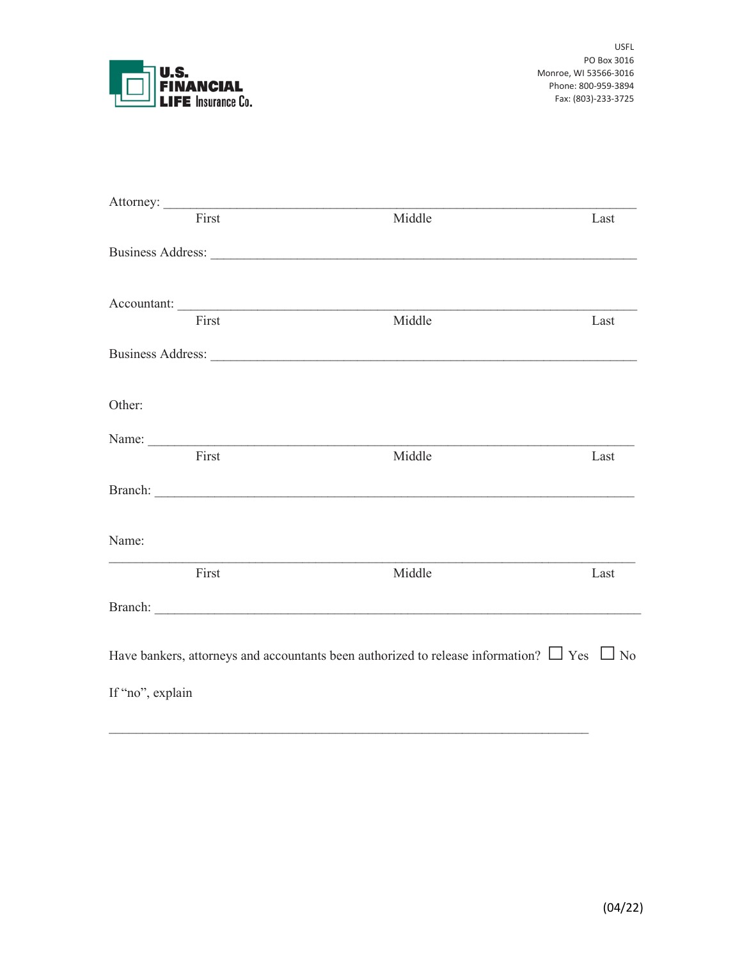

| First                                                                                                                                                                                                                          | Middle | Last |
|--------------------------------------------------------------------------------------------------------------------------------------------------------------------------------------------------------------------------------|--------|------|
|                                                                                                                                                                                                                                |        |      |
|                                                                                                                                                                                                                                |        |      |
| First                                                                                                                                                                                                                          | Middle | Last |
| Business Address: New York 1988                                                                                                                                                                                                |        |      |
| Other:                                                                                                                                                                                                                         |        |      |
|                                                                                                                                                                                                                                |        |      |
| First                                                                                                                                                                                                                          | Middle | Last |
| Branch: <u>Contractor Communication</u>                                                                                                                                                                                        |        |      |
| Name:                                                                                                                                                                                                                          |        |      |
| First                                                                                                                                                                                                                          | Middle | Last |
| Branch: North Communication of the Communication of the Communication of the Communication of the Communication of the Communication of the Communication of the Communication of the Communication of the Communication of th |        |      |
| Have bankers, attorneys and accountants been authorized to release information? $\Box$ Yes $\Box$ No                                                                                                                           |        |      |
| If "no", explain                                                                                                                                                                                                               |        |      |